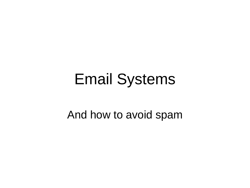#### Email Systems

#### And how to avoid spam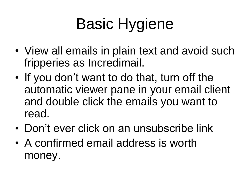# Basic Hygiene

- View all emails in plain text and avoid such fripperies as Incredimail.
- If you don't want to do that, turn off the automatic viewer pane in your email client and double click the emails you want to read.
- Don't ever click on an unsubscribe link
- A confirmed email address is worth money.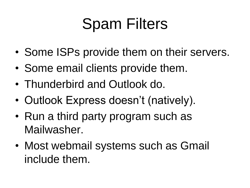## Spam Filters

- Some ISPs provide them on their servers.
- Some email clients provide them.
- Thunderbird and Outlook do.
- Outlook Express doesn't (natively).
- Run a third party program such as Mailwasher.
- Most webmail systems such as Gmail include them.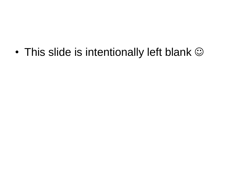• This slide is intentionally left blank  $\odot$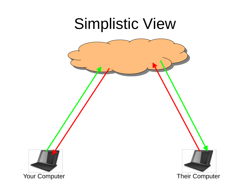#### Simplistic View

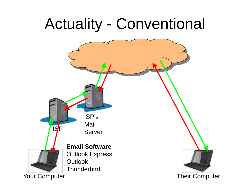#### Actuality - Conventional

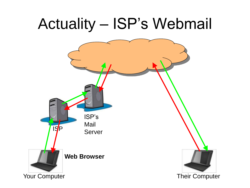#### Actuality – ISP's Webmail

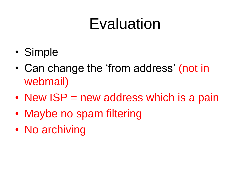#### Evaluation

- Simple
- Can change the 'from address' (not in webmail)
- New ISP = new address which is a pain
- Maybe no spam filtering
- No archiving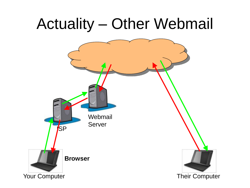#### Actuality – Other Webmail

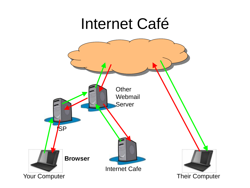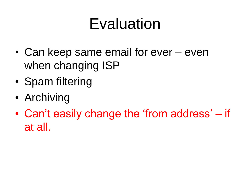### Evaluation

- Can keep same email for ever even when changing ISP
- Spam filtering
- Archiving
- Can't easily change the 'from address' if at all.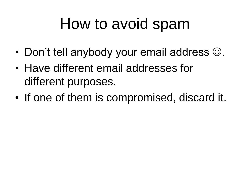### How to avoid spam

- Don't tell anybody your email address  $\odot$ .
- Have different email addresses for different purposes.
- If one of them is compromised, discard it.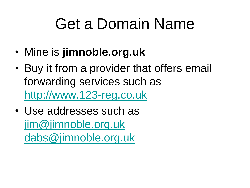### Get a Domain Name

- Mine is **jimnoble.org.uk**
- Buy it from a provider that offers email forwarding services such as [http://www.123-reg.co.uk](http://www.123-reg.co.uk/)
- Use addresses such as [jim@jimnoble.org.uk](mailto:jim@jimnoble.org.uk) [dabs@jimnoble.org.uk](mailto:dabs@jimnoble.org.uk)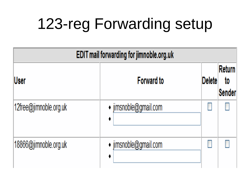# 123-reg Forwarding setup

| EDIT mail forwarding for jimnoble.org.uk |                       |               |                               |  |  |
|------------------------------------------|-----------------------|---------------|-------------------------------|--|--|
| lUser                                    | <b>Forward to</b>     | <b>Delete</b> | Return<br>to<br><b>Sender</b> |  |  |
| 12free@jimnoble.org.uk                   | • jimsnoble@gmail.com |               |                               |  |  |
| 18866@jimnoble.org.uk                    | · jimsnoble@gmail.com |               |                               |  |  |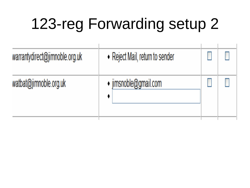# 123-reg Forwarding setup 2

| warrantydirect@jimnoble.org.uk | • Reject Mail, return to sender |  |
|--------------------------------|---------------------------------|--|
| watbat@jimnoble.org.uk         | $\cdot$ jimsnoble@gmail.com     |  |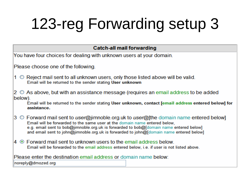# 123-reg Forwarding setup 3

#### **Catch-all mail forwarding**

You have four choices for dealing with unknown users at your domain.

Please choose one of the following.

 $1 \circ$  Reject mail sent to all unknown users, only those listed above will be valid. Email will be returned to the sender stating User unknown

 $2 \circ$  As above, but with an assistance message (requires an email address to be added below).

Email will be returned to the sender stating User unknown, contact [email address entered below] for assistance.

- 3 Forward mail sent to *user*@jimnoble.org.uk to *user*@[the domain name entered below] Email will be forwarded to the same user at the domain name entered below. e.g. email sent to bob@jimnoble.org.uk is forwarded to bob@Jdomain name entered below] and email sent to john@jimnoble.org.uk is forwarded to john@[domain name entered below]
- $4 \circ$  Forward mail sent to unknown users to the email address below. Email will be forwarded to the email address entered below, i.e. if user is not listed above.

| Please enter the destination email address or domain name below: |  |
|------------------------------------------------------------------|--|
| noreply@dmozed.org                                               |  |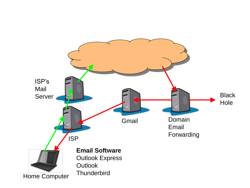